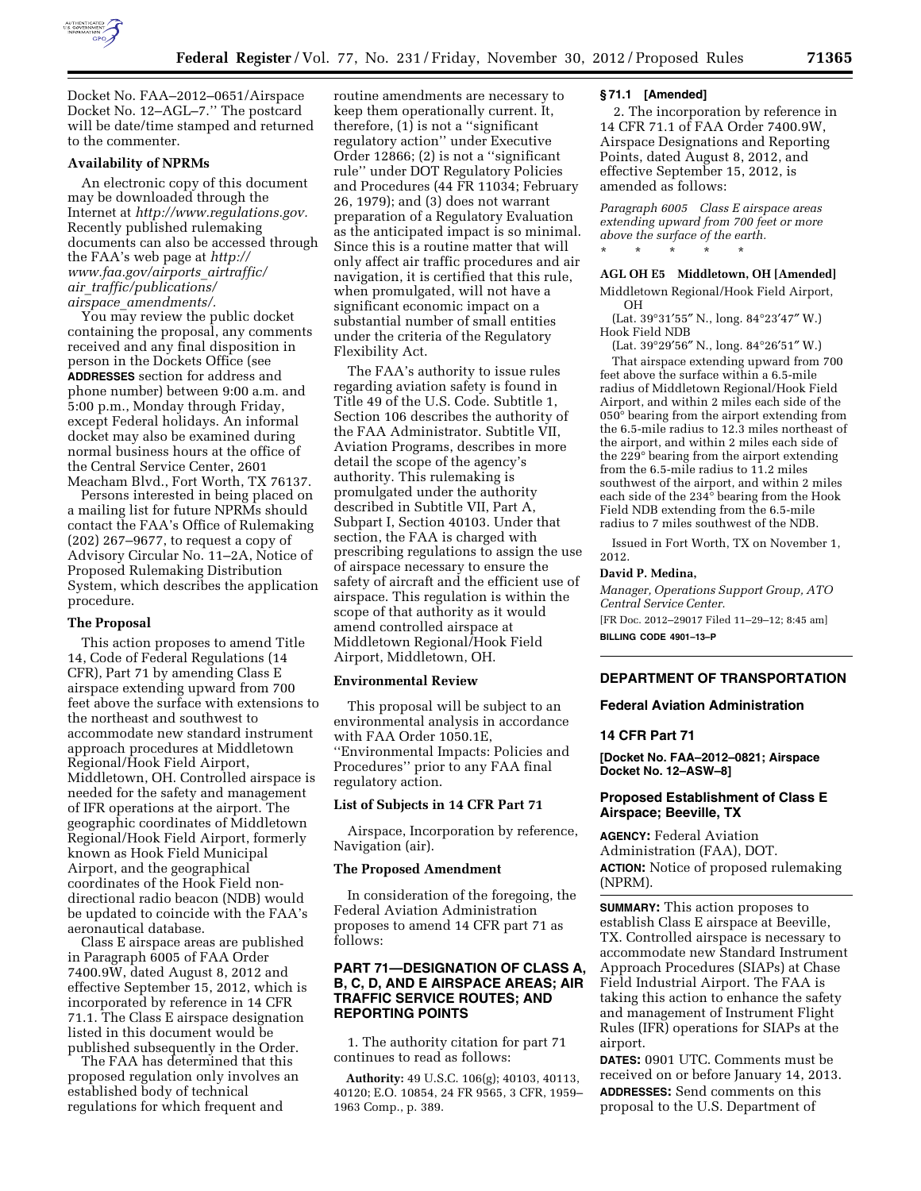

Docket No. FAA–2012–0651/Airspace Docket No. 12–AGL–7.'' The postcard will be date/time stamped and returned to the commenter.

### **Availability of NPRMs**

An electronic copy of this document may be downloaded through the Internet at *[http://www.regulations.gov.](http://www.regulations.gov)*  Recently published rulemaking documents can also be accessed through the FAA's web page at *[http://](http://www.faa.gov/airports_airtraffic/air_traffic/publications/airspace_amendments/) [www.faa.gov/airports](http://www.faa.gov/airports_airtraffic/air_traffic/publications/airspace_amendments/)*\_*airtraffic/ air*\_*[traffic/publications/](http://www.faa.gov/airports_airtraffic/air_traffic/publications/airspace_amendments/) airspace*\_*[amendments/.](http://www.faa.gov/airports_airtraffic/air_traffic/publications/airspace_amendments/)* 

You may review the public docket containing the proposal, any comments received and any final disposition in person in the Dockets Office (see **ADDRESSES** section for address and phone number) between 9:00 a.m. and 5:00 p.m., Monday through Friday, except Federal holidays. An informal docket may also be examined during normal business hours at the office of the Central Service Center, 2601 Meacham Blvd., Fort Worth, TX 76137.

Persons interested in being placed on a mailing list for future NPRMs should contact the FAA's Office of Rulemaking (202) 267–9677, to request a copy of Advisory Circular No. 11–2A, Notice of Proposed Rulemaking Distribution System, which describes the application procedure.

#### **The Proposal**

This action proposes to amend Title 14, Code of Federal Regulations (14 CFR), Part 71 by amending Class E airspace extending upward from 700 feet above the surface with extensions to the northeast and southwest to accommodate new standard instrument approach procedures at Middletown Regional/Hook Field Airport, Middletown, OH. Controlled airspace is needed for the safety and management of IFR operations at the airport. The geographic coordinates of Middletown Regional/Hook Field Airport, formerly known as Hook Field Municipal Airport, and the geographical coordinates of the Hook Field nondirectional radio beacon (NDB) would be updated to coincide with the FAA's aeronautical database.

Class E airspace areas are published in Paragraph 6005 of FAA Order 7400.9W, dated August 8, 2012 and effective September 15, 2012, which is incorporated by reference in 14 CFR 71.1. The Class E airspace designation listed in this document would be published subsequently in the Order.

The FAA has determined that this proposed regulation only involves an established body of technical regulations for which frequent and

routine amendments are necessary to keep them operationally current. It, therefore, (1) is not a ''significant regulatory action'' under Executive Order 12866; (2) is not a ''significant rule'' under DOT Regulatory Policies and Procedures (44 FR 11034; February 26, 1979); and (3) does not warrant preparation of a Regulatory Evaluation as the anticipated impact is so minimal. Since this is a routine matter that will only affect air traffic procedures and air navigation, it is certified that this rule, when promulgated, will not have a significant economic impact on a substantial number of small entities under the criteria of the Regulatory Flexibility Act.

The FAA's authority to issue rules regarding aviation safety is found in Title 49 of the U.S. Code. Subtitle 1, Section 106 describes the authority of the FAA Administrator. Subtitle VII, Aviation Programs, describes in more detail the scope of the agency's authority. This rulemaking is promulgated under the authority described in Subtitle VII, Part A, Subpart I, Section 40103. Under that section, the FAA is charged with prescribing regulations to assign the use of airspace necessary to ensure the safety of aircraft and the efficient use of airspace. This regulation is within the scope of that authority as it would amend controlled airspace at Middletown Regional/Hook Field Airport, Middletown, OH.

#### **Environmental Review**

This proposal will be subject to an environmental analysis in accordance with FAA Order 1050.1E, ''Environmental Impacts: Policies and Procedures'' prior to any FAA final regulatory action.

## **List of Subjects in 14 CFR Part 71**

Airspace, Incorporation by reference, Navigation (air).

## **The Proposed Amendment**

In consideration of the foregoing, the Federal Aviation Administration proposes to amend 14 CFR part 71 as follows:

# **PART 71—DESIGNATION OF CLASS A, B, C, D, AND E AIRSPACE AREAS; AIR TRAFFIC SERVICE ROUTES; AND REPORTING POINTS**

1. The authority citation for part 71 continues to read as follows:

**Authority:** 49 U.S.C. 106(g); 40103, 40113, 40120; E.O. 10854, 24 FR 9565, 3 CFR, 1959– 1963 Comp., p. 389.

## **§ 71.1 [Amended]**

2. The incorporation by reference in 14 CFR 71.1 of FAA Order 7400.9W, Airspace Designations and Reporting Points, dated August 8, 2012, and effective September 15, 2012, is amended as follows:

*Paragraph 6005 Class E airspace areas extending upward from 700 feet or more above the surface of the earth.*  \* \* \* \* \*

**AGL OH E5 Middletown, OH [Amended]** 

Middletown Regional/Hook Field Airport, OH

(Lat. 39°31′55″ N., long. 84°23′47″ W.) Hook Field NDB

(Lat. 39°29′56″ N., long. 84°26′51″ W.)

That airspace extending upward from 700 feet above the surface within a 6.5-mile radius of Middletown Regional/Hook Field Airport, and within 2 miles each side of the 050° bearing from the airport extending from the 6.5-mile radius to 12.3 miles northeast of the airport, and within 2 miles each side of the 229° bearing from the airport extending from the 6.5-mile radius to 11.2 miles southwest of the airport, and within 2 miles each side of the 234° bearing from the Hook Field NDB extending from the 6.5-mile radius to 7 miles southwest of the NDB.

Issued in Fort Worth, TX on November 1, 2012.

#### **David P. Medina,**

*Manager, Operations Support Group, ATO Central Service Center.* 

[FR Doc. 2012–29017 Filed 11–29–12; 8:45 am]

**BILLING CODE 4901–13–P** 

# **DEPARTMENT OF TRANSPORTATION**

**Federal Aviation Administration** 

# **14 CFR Part 71**

**[Docket No. FAA–2012–0821; Airspace Docket No. 12–ASW–8]** 

# **Proposed Establishment of Class E Airspace; Beeville, TX**

**AGENCY:** Federal Aviation Administration (FAA), DOT. **ACTION:** Notice of proposed rulemaking (NPRM).

**SUMMARY:** This action proposes to establish Class E airspace at Beeville, TX. Controlled airspace is necessary to accommodate new Standard Instrument Approach Procedures (SIAPs) at Chase Field Industrial Airport. The FAA is taking this action to enhance the safety and management of Instrument Flight Rules (IFR) operations for SIAPs at the airport.

**DATES:** 0901 UTC. Comments must be received on or before January 14, 2013. **ADDRESSES:** Send comments on this proposal to the U.S. Department of